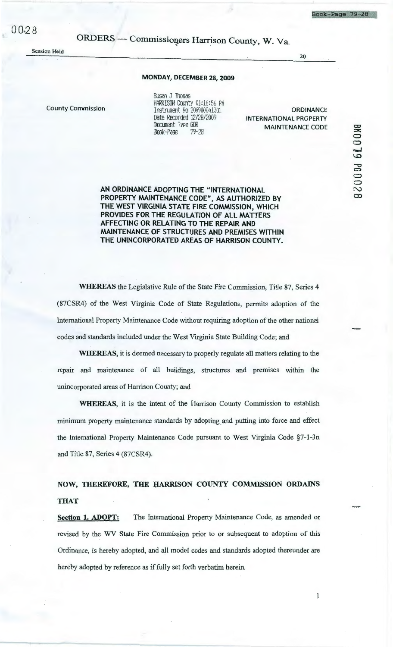ORDERS — Commissioners Harrison County, W. Va.

**Session Held** 

## MONDAY, DECEMBER 28, 2009

**County Commission** 

Susan J Thomas HARRISON County 01:16:56 PM Instrument No 200900041301 Date Recorded 12/28/2009 Document Type GOR Book-Page  $79 - 28$ 

**ORDINANCE INTERNATIONAL PROPERTY MAINTENANCE CODE** 

 $20$ 

 $\bf{l}$ 

BK0039 PB0028

AN ORDINANCE ADOPTING THE "INTERNATIONAL PROPERTY MAINTENANCE CODE", AS AUTHORIZED BY THE WEST VIRGINIA STATE FIRE COMMISSION, WHICH PROVIDES FOR THE REGULATION OF ALL MATTERS AFFECTING OR RELATING TO THE REPAIR AND MAINTENANCE OF STRUCTURES AND PREMISES WITHIN THE UNINCORPORATED AREAS OF HARRISON COUNTY.

**WHEREAS** the Legislative Rule of the State Fire Commission, Title 87, Series 4 (87CSR4) of the West Virginia Code of State Regulations, permits adoption of the International Property Maintenance Code without requiring adoption of the other national codes and standards included under the West Virginia State Building Code; and

WHEREAS, it is deemed necessary to properly regulate all matters relating to the repair and maintenance of all buildings, structures and premises within the unincorporated areas of Harrison County; and

**WHEREAS**, it is the intent of the Harrison County Commission to establish minimum property maintenance standards by adopting and putting into force and effect the International Property Maintenance Code pursuant to West Virginia Code §7-1-3n and Title 87, Series 4 (87CSR4).

## NOW, THEREFORE, THE HARRISON COUNTY COMMISSION ORDAINS **THAT**

The International Property Maintenance Code, as amended or Section 1. ADOPT: revised by the WV State Fire Commission prior to or subsequent to adoption of this Ordinance, is hereby adopted, and all model codes and standards adopted thereunder are hereby adopted by reference as if fully set forth verbatim herein.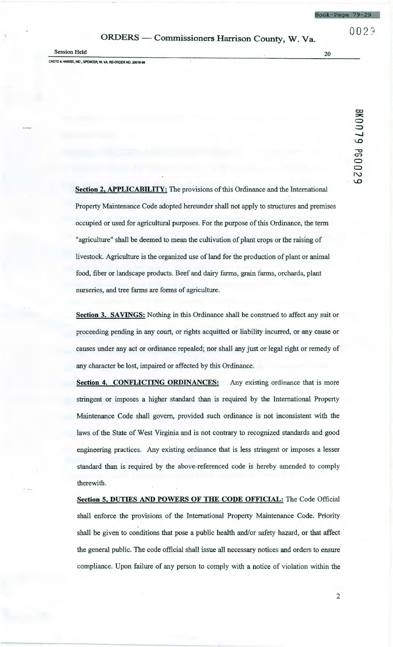0 0 2 *·:*<sup>1</sup>

## ORDERS - Commissioners Harrison County, W. Va.

Session Held 20

CASTO & HARRIS, INC., SPENCER, W. VA. RE-ORDER NO. 20016-06

## BK0079 PG0029

**Section 2, APPLICABILITY:** The provisions of this Ordinance and the International Property Maintenance Code adopted hereunder shall not apply to structures and premises occupied or used for agricultural purposes. For the purpose of this Ordinance, the term "agriculture" shall be deemed to mean the cultivation of plant crops or the raising of livestock. Agriculture is the organized use of land for the production of plant or animal food, fiber or landscape products. Beef and dairy farms, grain farms, orchards, plant nurseries, and tree farms are forms of agriculture.

**Section 3. SAVINGS:** Nothing in this Ordinance shall be construed to affect any suit or proceeding pending in any court, or rights acquitted or liability incurred, or any cause or causes under any act or ordinance repealed; nor shall any just or legal right or remedy of any character be lost, impaired or affected by this Ordinance.

**Section 4. CONFLICTING ORDINANCES:** Any existing ordinance that is more stringent or imposes a higher standard than is required by the International Property Maintenance Code shall govern, provided such ordinance is not inconsistent with the laws of the State of West Virginia and is not contrary to recognized standards and good engineering practices. Any existing ordinance that is less stringent or imposes a lesser standard than is required by the above-referenced code is hereby amended to comply therewith.

**Section 5, DUTIES AND POWERS OF THE CODE OFFICIAL:** The Code Official shall enforce the provisions of the International Property Maintenance Code. Priority shall be given to conditions that pose a public health and/or safety hazard, or that affect the general public. The code official shall issue all necessary notices and orders to ensure compliance. Upon failure of any person to comply with a notice of violation within the